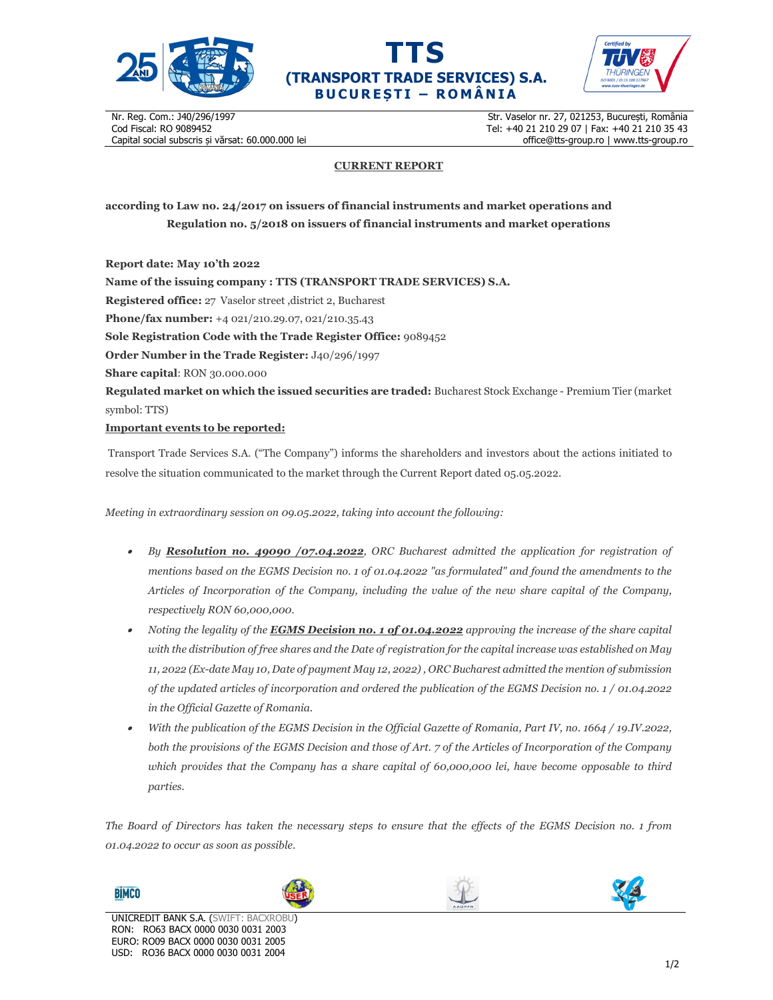





Nr. Reg. Com.: J40/296/1997 Cod Fiscal: RO 9089452 Capital social subscris și vărsat: 60.000.000 lei

Str. Vaselor nr. 27, 021253, București, România Tel: +40 21 210 29 07 | Fax: +40 21 210 35 43 office@tts-group.ro | www.tts-group.ro

## **CURRENT REPORT**

**according to Law no. 24/2017 on issuers of financial instruments and market operations and Regulation no. 5/2018 on issuers of financial instruments and market operations** 

**Report date: May 10'th 2022 Name of the issuing company : TTS (TRANSPORT TRADE SERVICES) S.A. Registered office:** 27 Vaselor street ,district 2, Bucharest **Phone/fax number:** +4 021/210.29.07, 021/210.35.43 **Sole Registration Code with the Trade Register Office:** 9089452 **Order Number in the Trade Register:** J40/296/1997 **Share capital**: RON 30.000.000 **Regulated market on which the issued securities are traded:** Bucharest Stock Exchange - Premium Tier (market symbol: TTS) **Important events to be reported:**

Transport Trade Services S.A. ("The Company") informs the shareholders and investors about the actions initiated to resolve the situation communicated to the market through the Current Report dated 05.05.2022.

*Meeting in extraordinary session on 09.05.2022, taking into account the following:* 

- *By Resolution no. 49090 /07.04.2022, ORC Bucharest admitted the application for registration of mentions based on the EGMS Decision no. 1 of 01.04.2022 "as formulated" and found the amendments to the Articles of Incorporation of the Company, including the value of the new share capital of the Company, respectively RON 60,000,000.*
- . *Noting the legality of the EGMS Decision no. 1 of 01.04.2022 approving the increase of the share capital with the distribution of free shares and the Date of registration for the capital increase was established on May 11, 2022 (Ex-date May 10, Date of payment May 12, 2022) , ORC Bucharest admitted the mention of submission of the updated articles of incorporation and ordered the publication of the EGMS Decision no. 1 / 01.04.2022 in the Official Gazette of Romania.*
- . *With the publication of the EGMS Decision in the Official Gazette of Romania, Part IV, no. 1664 / 19.IV.2022, both the provisions of the EGMS Decision and those of Art. 7 of the Articles of Incorporation of the Company which provides that the Company has a share capital of 60,000,000 lei, have become opposable to third parties.*

*The Board of Directors has taken the necessary steps to ensure that the effects of the EGMS Decision no. 1 from 01.04.2022 to occur as soon as possible.* 

**BIMCO**